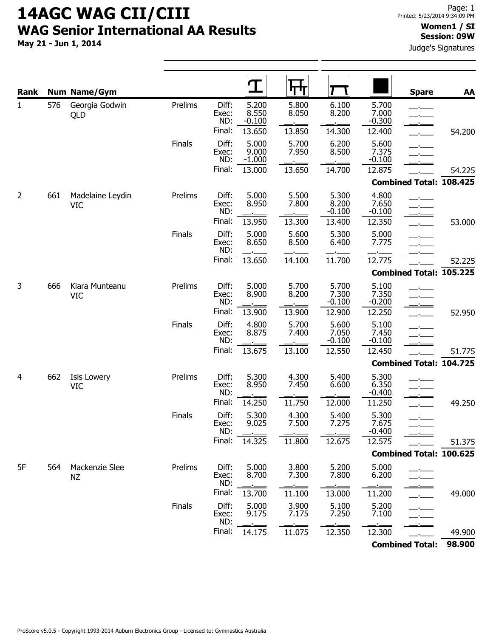May 21 - Jun 1, 2014

#### Women1 / SI Session: 09W

Judge's Signatures

| Rank           |     | <b>Num Name/Gym</b>            |         |                       | T                          | ┡┾┰            |                            |                            | <b>Spare</b>                   | AA     |
|----------------|-----|--------------------------------|---------|-----------------------|----------------------------|----------------|----------------------------|----------------------------|--------------------------------|--------|
| $\mathbf{1}$   | 576 | Georgia Godwin<br>QLD          | Prelims | Diff:<br>Exec:<br>ND: | 5.200<br>8.550<br>$-0.100$ | 5.800<br>8.050 | 6.100<br>8.200             | 5.700<br>7.000<br>$-0.300$ | المستحيل                       |        |
|                |     |                                |         | Final:                | 13.650                     | 13.850         | 14.300                     | 12.400                     | $-$                            | 54.200 |
|                |     |                                | Finals  | Diff:<br>Exec:<br>ND: | 5.000<br>9.000<br>$-1.000$ | 5.700<br>7.950 | 6.200<br>8.500             | 5.600<br>7.375<br>$-0.100$ | $ -$<br><b>Service</b>         |        |
|                |     |                                |         | Final:                | 13.000                     | 13.650         | 14.700                     | 12.875                     |                                | 54.225 |
|                |     |                                |         |                       |                            |                |                            |                            | <b>Combined Total: 108.425</b> |        |
| $\overline{2}$ | 661 | Madelaine Leydin<br><b>VIC</b> | Prelims | Diff:<br>Exec:<br>ND: | 5.000<br>8.950             | 5.500<br>7.800 | 5.300<br>8.200<br>$-0.100$ | 4.800<br>7.650<br>$-0.100$ | $\sim$<br>للمستدفع             |        |
|                |     |                                |         | Final:                | 13.950                     | 13.300         | 13.400                     | 12.350                     |                                | 53.000 |
|                |     |                                | Finals  | Diff:<br>Exec:<br>ND: | 5.000<br>8.650             | 5.600<br>8.500 | 5.300<br>6.400             | 5.000<br>7.775             |                                |        |
|                |     |                                |         | Final:                | 13.650                     | 14.100         | 11.700                     | 12.775                     |                                | 52.225 |
|                |     |                                |         |                       |                            |                |                            |                            | <b>Combined Total: 105.225</b> |        |
| 3              | 666 | Kiara Munteanu<br><b>VIC</b>   | Prelims | Diff:<br>Exec:<br>ND: | 5.000<br>8.900             | 5.700<br>8.200 | 5.700<br>7.300<br>$-0.100$ | 5.100<br>7.350<br>$-0.200$ |                                |        |
|                |     |                                |         | Final:                | 13.900                     | 13.900         | 12.900                     | 12.250                     |                                | 52.950 |
|                |     |                                | Finals  | Diff:<br>Exec:<br>ND: | 4.800<br>8.875             | 5.700<br>7.400 | 5.600<br>7.050<br>$-0.100$ | 5.100<br>7.450<br>$-0.100$ |                                |        |
|                |     |                                |         | Final:                | 13.675                     | 13.100         | 12.550                     | 12.450                     |                                | 51.775 |
|                |     |                                |         |                       |                            |                |                            |                            | <b>Combined Total: 104.725</b> |        |
| 4              | 662 | Isis Lowery<br><b>VIC</b>      | Prelims | Diff:<br>Exec:<br>ND: | 5.300<br>8.950             | 4.300<br>7.450 | 5.400<br>6.600             | 5.300<br>6.350<br>$-0.400$ |                                |        |
|                |     |                                |         | Final:                | 14.250                     | 11.750         | 12.000                     | 11.250                     | $\overline{a}$                 | 49.250 |
|                |     |                                | Finals  | Diff:<br>Exec:<br>ND: | 5.300<br>9.025             | 4.300<br>7.500 | 5.400<br>7.275             | 5.300<br>7.675<br>$-0.400$ | المستدفعة<br>-'-               |        |
|                |     |                                |         | Final:                | 14.325                     | 11.800         | 12.675                     | 12.575                     |                                | 51.375 |
|                |     |                                |         |                       |                            |                |                            |                            | <b>Combined Total: 100.625</b> |        |
| 5F             | 564 | Mackenzie Slee<br>NZ           | Prelims | Diff:<br>Exec:<br>ND: | 5.000<br>8.700             | 3.800<br>7.300 | 5.200<br>7.800             | 5.000<br>6.200             |                                |        |
|                |     |                                |         | Final:                | 13.700                     | 11.100         | 13.000                     | 11.200                     |                                | 49.000 |
|                |     |                                | Finals  | Diff:<br>Exec:<br>ND: | 5.000<br>9.175             | 3.900<br>7.175 | 5.100<br>7.250             | 5.200<br>7.100             |                                |        |
|                |     |                                |         | Final:                | 14.175                     | 11.075         | 12.350                     | 12.300                     |                                | 49.900 |
|                |     |                                |         |                       |                            |                |                            |                            | <b>Combined Total:</b>         | 98.900 |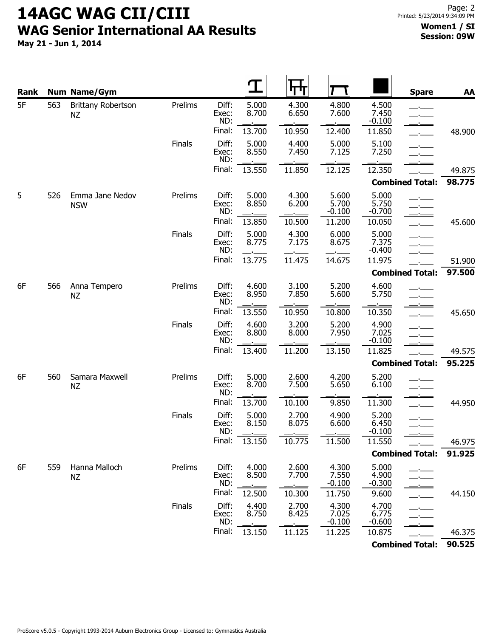| Rank |     | <b>Num Name/Gym</b>             |         |                       |                | ТΤ             |                            |                            | <b>Spare</b>                   | AA     |
|------|-----|---------------------------------|---------|-----------------------|----------------|----------------|----------------------------|----------------------------|--------------------------------|--------|
| 5F   | 563 | Brittany Robertson<br><b>NZ</b> | Prelims | Diff:<br>Exec:<br>ND: | 5.000<br>8.700 | 4.300<br>6.650 | 4.800<br>7.600             | 4.500<br>7.450<br>$-0.100$ | $\mathbf{r}$<br>$\mathbf{r}$   |        |
|      |     |                                 |         | Final:                | 13.700         | 10.950         | 12.400                     | 11.850                     | $\mathbf{r}$                   | 48.900 |
|      |     |                                 | Finals  | Diff:<br>Exec:<br>ND: | 5.000<br>8.550 | 4.400<br>7.450 | 5.000<br>7.125             | 5.100<br>7.250             | $ -$                           |        |
|      |     |                                 |         | Final:                | 13.550         | 11.850         | 12.125                     | 12.350                     |                                | 49.875 |
|      |     |                                 |         |                       |                |                |                            |                            | <b>Combined Total:</b>         | 98.775 |
| 5    | 526 | Emma Jane Nedov<br><b>NSW</b>   | Prelims | Diff:<br>Exec:<br>ND: | 5.000<br>8.850 | 4.300<br>6.200 | 5.600<br>5.700<br>$-0.100$ | 5.000<br>5.750<br>$-0.700$ | $\overline{\phantom{a}}$<br>كك |        |
|      |     |                                 |         | Final:                | 13.850         | 10.500         | 11.200                     | 10.050                     | $\overline{\phantom{a}}$       | 45.600 |
|      |     |                                 | Finals  | Diff:<br>Exec:<br>ND: | 5.000<br>8.775 | 4.300<br>7.175 | 6.000<br>8.675             | 5.000<br>7.375<br>$-0.400$ | $\mathcal{L}$                  |        |
|      |     |                                 |         | Final:                | 13.775         | 11.475         | 14.675                     | 11.975                     |                                | 51.900 |
|      |     |                                 |         |                       |                |                |                            |                            | <b>Combined Total:</b>         | 97.500 |
| 6F   | 566 | Anna Tempero<br>ΝZ              | Prelims | Diff:<br>Exec:<br>ND: | 4.600<br>8.950 | 3.100<br>7.850 | 5.200<br>5.600             | 4.600<br>5.750             | $\mathbf{r}$                   |        |
|      |     |                                 |         | Final:                | 13.550         | 10.950         | 10.800                     | 10.350                     | $\mathbf{L}$                   | 45.650 |
|      |     |                                 | Finals  | Diff:<br>Exec:<br>ND: | 4.600<br>8.800 | 3.200<br>8.000 | 5.200<br>7.950             | 4.900<br>7.025<br>$-0.100$ | سيستعدد والمستحد               |        |
|      |     |                                 |         | Final:                | 13.400         | 11.200         | 13.150                     | 11.825                     |                                | 49.575 |
|      |     |                                 |         |                       |                |                |                            |                            | <b>Combined Total:</b>         | 95.225 |
| 6F   | 560 | Samara Maxwell<br><b>NZ</b>     | Prelims | Diff:<br>Exec:<br>ND: | 5.000<br>8.700 | 2.600<br>7.500 | 4.200<br>5.650             | 5.200<br>6.100             | $ -$                           |        |
|      |     |                                 |         | Final:                | 13.700         | 10.100         | 9.850                      | 11.300                     | $\mathbf{L}$                   | 44.950 |
|      |     |                                 | Finals  | Diff:<br>Exec:<br>ND: | 5.000<br>8.150 | 2.700<br>8.075 | 4.900<br>6.600             | 5.200<br>6.450<br>$-0.100$ | للمستخلص<br>المستعاد والمستوات |        |
|      |     |                                 |         | Final:                | 13.150         | 10.775         | 11.500                     | 11.550                     |                                | 46.975 |
|      |     |                                 |         |                       |                |                |                            |                            | <b>Combined Total:</b>         | 91.925 |
| 6F   | 559 | Hanna Malloch<br>ΝZ             | Prelims | Diff:<br>Exec:<br>ND: | 4.000<br>8.500 | 2.600<br>7.700 | 4.300<br>7.550<br>$-0.100$ | 5.000<br>4.900<br>$-0.300$ |                                |        |
|      |     |                                 |         | Final:                | 12.500         | 10.300         | 11.750                     | 9.600                      |                                | 44.150 |
|      |     |                                 | Finals  | Diff:<br>Exec:<br>ND: | 4.400<br>8.750 | 2.700<br>8.425 | 4.300<br>7.025<br>$-0.100$ | 4.700<br>6.775<br>$-0.600$ |                                |        |
|      |     |                                 |         | Final:                | 13.150         | 11.125         | 11.225                     | 10.875                     |                                | 46.375 |
|      |     |                                 |         |                       |                |                |                            |                            | <b>Combined Total:</b>         | 90.525 |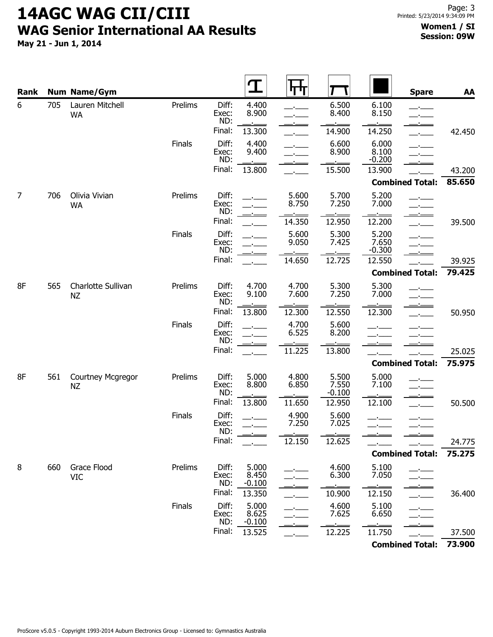| Rank |     | <b>Num Name/Gym</b>             |         |                       |                            | ना प           |                            |                            | <b>Spare</b>                                  | AA     |
|------|-----|---------------------------------|---------|-----------------------|----------------------------|----------------|----------------------------|----------------------------|-----------------------------------------------|--------|
| 6    | 705 | Lauren Mitchell<br><b>WA</b>    | Prelims | Diff:<br>Exec:<br>ND: | 4.400<br>8.900             |                | 6.500<br>8.400             | 6.100<br>8.150             | سيست است<br>$-1$                              |        |
|      |     |                                 |         | Final:                | 13.300                     |                | 14.900                     | 14.250                     | $\overline{a}$                                | 42.450 |
|      |     |                                 | Finals  | Diff:<br>Exec:<br>ND: | 4.400<br>9.400             |                | 6.600<br>8.900             | 6.000<br>8.100<br>$-0.200$ | <u>in the common</u><br>$ -$<br>سيست والمنافذ |        |
|      |     |                                 |         | Final:                | 13.800                     |                | 15.500                     | 13.900                     |                                               | 43.200 |
|      |     |                                 |         |                       |                            |                |                            |                            | <b>Combined Total:</b>                        | 85.650 |
| 7    | 706 | Olivia Vivian<br><b>WA</b>      | Prelims | Diff:<br>Exec:<br>ND: |                            | 5.600<br>8.750 | 5.700<br>7.250             | 5.200<br>7.000             | سنست فلننبأ<br>$ -$                           |        |
|      |     |                                 |         | Final:                |                            | 14.350         | 12.950                     | 12.200                     | $\overline{\phantom{a}}$                      | 39.500 |
|      |     |                                 | Finals  | Diff:<br>Exec:<br>ND: |                            | 5.600<br>9.050 | 5.300<br>7.425             | 5.200<br>7.650<br>$-0.300$ | $ -$<br>$\overline{\phantom{a}}$              |        |
|      |     |                                 |         | Final:                |                            | 14.650         | 12.725                     | 12.550                     |                                               | 39.925 |
|      |     |                                 |         |                       |                            |                |                            |                            | <b>Combined Total:</b>                        | 79.425 |
| 8F   | 565 | Charlotte Sullivan<br><b>NZ</b> | Prelims | Diff:<br>Exec:<br>ND: | 4.700<br>9.100             | 4.700<br>7.600 | 5.300<br>7.250             | 5.300<br>7.000             | $ -$                                          |        |
|      |     |                                 |         | Final:                | 13.800                     | 12.300         | 12.550                     | 12.300                     |                                               | 50.950 |
|      |     |                                 | Finals  | Diff:<br>Exec:<br>ND: |                            | 4.700<br>6.525 | 5.600<br>8.200             | المستنبط                   |                                               |        |
|      |     |                                 |         | Final:                |                            | 11.225         | 13.800                     |                            |                                               | 25.025 |
|      |     |                                 |         |                       |                            |                |                            |                            | <b>Combined Total:</b>                        | 75.975 |
| 8F   | 561 | Courtney Mcgregor<br><b>NZ</b>  | Prelims | Diff:<br>Exec:<br>ND: | 5.000<br>8.800             | 4.800<br>6.850 | 5.500<br>7.550<br>$-0.100$ | 5.000<br>7.100             | $\mathbf{L}$                                  |        |
|      |     |                                 |         | Final:                | 13.800                     | 11.650         | 12.950                     | 12.100                     |                                               | 50.500 |
|      |     |                                 | Finals  | Diff:<br>Exec:<br>ND: |                            | 4.900<br>7.250 | 5.600<br>7.025             | $\overline{a}$             | $ -$                                          |        |
|      |     |                                 |         | Final:                |                            | 12.150         | 12.625                     |                            |                                               | 24.775 |
|      |     |                                 |         |                       |                            |                |                            |                            | <b>Combined Total:</b>                        | 75.275 |
| 8    | 660 | Grace Flood<br>VIC              | Prelims | Diff:<br>Exec:<br>ND: | 5.000<br>8.450<br>$-0.100$ |                | 4.600<br>6.300             | 5.100<br>7.050             |                                               |        |
|      |     |                                 |         | Final:                | 13.350                     |                | 10.900                     | 12.150                     |                                               | 36.400 |
|      |     |                                 | Finals  | Diff:<br>Exec:<br>ND: | 5.000<br>8.625<br>$-0.100$ |                | 4.600<br>7.625             | 5.100<br>6.650             |                                               |        |
|      |     |                                 |         | Final:                | 13.525                     |                | 12.225                     | 11.750                     |                                               | 37.500 |
|      |     |                                 |         |                       |                            |                |                            |                            | <b>Combined Total:</b>                        | 73.900 |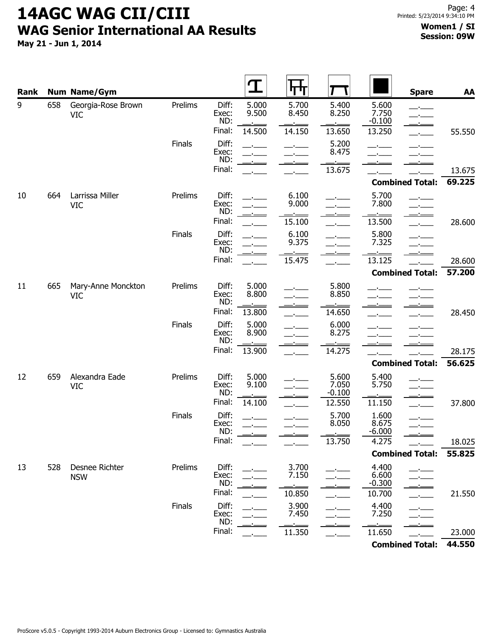| Rank |     | <b>Num Name/Gym</b>              |         |                       | T              | पण             |                            |                            | <b>Spare</b>                         | AA     |
|------|-----|----------------------------------|---------|-----------------------|----------------|----------------|----------------------------|----------------------------|--------------------------------------|--------|
| 9    | 658 | Georgia-Rose Brown<br><b>VIC</b> | Prelims | Diff:<br>Exec:<br>ND: | 5.000<br>9.500 | 5.700<br>8.450 | 5.400<br>8.250             | 5.600<br>7.750<br>$-0.100$ | $-$                                  |        |
|      |     |                                  |         | Final:                | 14.500         | 14.150         | 13.650                     | 13.250                     |                                      | 55.550 |
|      |     |                                  | Finals  | Diff:<br>Exec:<br>ND: |                |                | 5.200<br>8.475             |                            |                                      |        |
|      |     |                                  |         | Final:                |                |                | 13.675                     |                            |                                      | 13.675 |
|      |     |                                  |         |                       |                |                |                            |                            | <b>Combined Total:</b>               | 69.225 |
| 10   | 664 | Larrissa Miller<br><b>VIC</b>    | Prelims | Diff:<br>Exec:<br>ND: |                | 6.100<br>9.000 |                            | 5.700<br>7.800             |                                      |        |
|      |     |                                  |         | Final:                |                | 15.100         |                            | 13.500                     | $\overline{\phantom{a}}$             | 28.600 |
|      |     |                                  | Finals  | Diff:<br>Exec:<br>ND: |                | 6.100<br>9.375 |                            | 5.800<br>7.325             |                                      |        |
|      |     |                                  |         | Final:                |                | 15.475         |                            | ٥.<br>13.125               |                                      | 28.600 |
|      |     |                                  |         |                       |                |                |                            |                            | <b>Combined Total:</b>               | 57.200 |
| 11   | 665 | Mary-Anne Monckton<br><b>VIC</b> | Prelims | Diff:<br>Exec:<br>ND: | 5.000<br>8.800 |                | 5.800<br>8.850             |                            |                                      |        |
|      |     |                                  |         | Final:                | 13.800         |                | 14.650                     |                            |                                      | 28.450 |
|      |     |                                  | Finals  | Diff:<br>Exec:<br>ND: | 5.000<br>8.900 |                | 6.000<br>8.275<br>$\sim$   |                            |                                      |        |
|      |     |                                  |         | Final:                | 13.900         |                | 14.275                     |                            |                                      | 28.175 |
|      |     |                                  |         |                       |                |                |                            |                            | <b>Combined Total:</b>               | 56.625 |
| 12   | 659 | Alexandra Eade<br><b>VIC</b>     | Prelims | Diff:<br>Exec:<br>ND: | 5.000<br>9.100 |                | 5.600<br>7.050<br>$-0.100$ | 5.400<br>5.750             | $ -$                                 |        |
|      |     |                                  |         | Final:                | 14.100         |                | 12.550                     | 11.150                     |                                      | 37.800 |
|      |     |                                  | Finals  | Diff:<br>Exec:<br>ND: |                | $\rightarrow$  | 5.700<br>8.050             | 1.600<br>8.675<br>$-6.000$ | سيست مست<br>$\overline{\phantom{a}}$ |        |
|      |     |                                  |         | Final:                |                |                | 13.750                     | 4.275                      |                                      | 18.025 |
|      |     |                                  |         |                       |                |                |                            |                            | <b>Combined Total:</b>               | 55.825 |
| 13   | 528 | Desnee Richter<br><b>NSW</b>     | Prelims | Diff:<br>Exec:<br>ND: |                | 3.700<br>7.150 |                            | 4.400<br>6.600<br>$-0.300$ |                                      |        |
|      |     |                                  |         | Final:                |                | 10.850         |                            | 10.700                     |                                      | 21.550 |
|      |     |                                  | Finals  | Diff:<br>Exec:<br>ND: |                | 3.900<br>7.450 |                            | 4.400<br>7.250             |                                      |        |
|      |     |                                  |         | Final:                |                | 11.350         |                            | 11.650                     |                                      | 23.000 |
|      |     |                                  |         |                       |                |                |                            |                            | <b>Combined Total:</b>               | 44.550 |